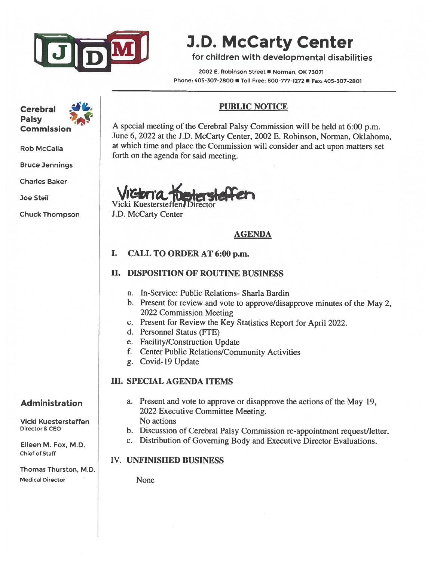

Cerebral Palsy

Bruce Jennings

Charles Baker

Joe Steil

# **J.D. McCarty Center** for children with developmental disabilities

2002 E. Robinson Street ■ Norman, OK 73071 Phone: 405-307-2800 Toll Free: 800-777-1272 PFax: 405-307-2801

# PUBLIC NOTICE

Commission A special meeting of the Cerebral Palsy Commission will be held at 6:00 p.m. June 6, 2022 at the J.D. McCarty Center, 2002 E. Robinson, Norman, Oklahoma, Rob McCalla at which time and place the Commission will consider and act upon matters set forth on the agenda for said meeting.

Vicki Kuestersteffer Chuck Thompson J.D. McCarty Center

## AGENDA

#### I. CALL TO ORDER AT 6:00 p.m.

#### II. DISPOSITION OF ROUTINE BUSINESS

- a. In-Service: Public Relations- Sharla Bardin
- b. Present for review and vote to approve/disapprove minutes of the May 2, 2022 Commission Meeting
- c. Present for Review the Key Statistics Report for April 2022.
- d. Personnel Status (FTE)
- e. Facility/Construction Update
- f. Center Public Relations/Community Activities
- g. Covid-19 Update

## III. SPECIAL AGENDA ITEMS

Vicki Kuestersteffen No actions

Chief of Staff

Thomas Thurston, M.D. Medical Director None

- Administration a. Present and vote to approve or disapprove the actions of the May 19, 2022 Executive Committee Meeting.
- Director & CEO b. Discussion of Cerebral Palsy Commission re-appointment request/letter.
- Eileen M. Fox, M.D. C. Distribution of Governing Body and Executive Director Evaluations.

#### IV. UNFINISHED BUSINESS